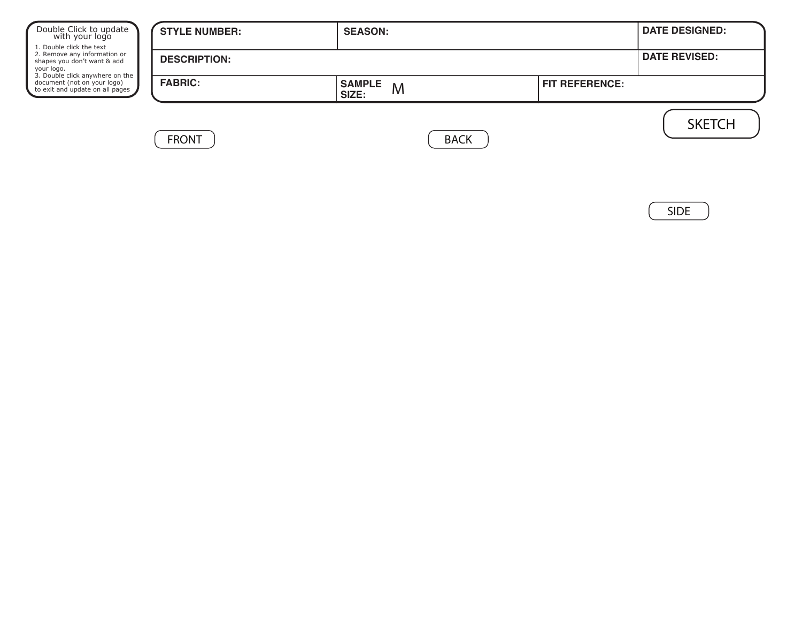| Double Click to update<br>with your logo<br>1. Double click the text                              | <b>STYLE NUMBER:</b> | <b>SEASON:</b>              |                       |                      |  |  |
|---------------------------------------------------------------------------------------------------|----------------------|-----------------------------|-----------------------|----------------------|--|--|
| 2. Remove any information or<br>shapes you don't want & add<br>your logo.                         | <b>DESCRIPTION:</b>  |                             |                       | <b>DATE REVISED:</b> |  |  |
| 3. Double click anywhere on the<br>document (not on your logo)<br>to exit and update on all pages | <b>FABRIC:</b>       | <b>SAMPLE</b><br>M<br>SIZE: | <b>FIT REFERENCE:</b> |                      |  |  |
|                                                                                                   | <b>FRONT</b>         | <b>BACK</b>                 |                       | <b>SKETCH</b>        |  |  |

SIDE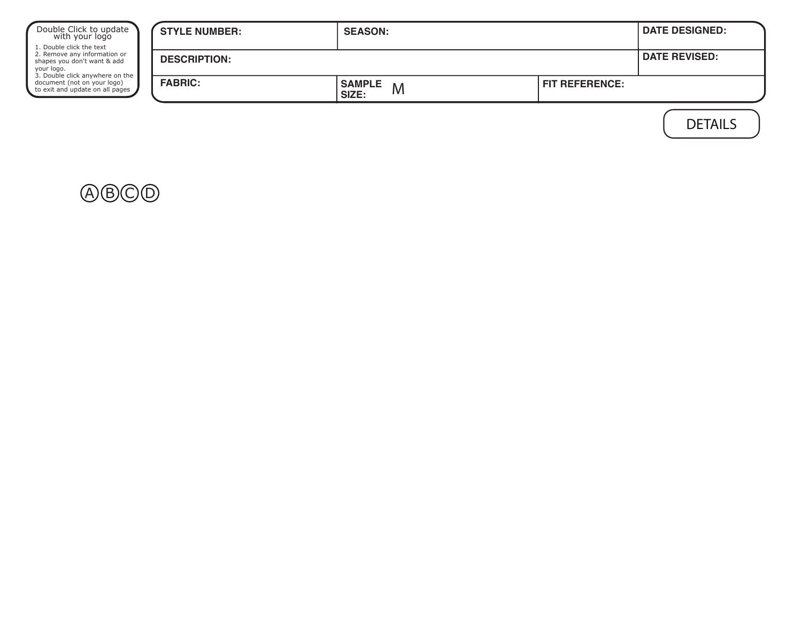| Double Click to update<br>with your logo<br>1. Double click the text                              | <b>STYLE NUMBER:</b> | <b>SEASON:</b>              |                       | <b>DATE DESIGNED:</b> |
|---------------------------------------------------------------------------------------------------|----------------------|-----------------------------|-----------------------|-----------------------|
| 2. Remove any information or<br>shapes you don't want & add<br>your logo.                         | <b>DESCRIPTION:</b>  |                             |                       | <b>DATE REVISED:</b>  |
| 3. Double click anywhere on the<br>document (not on your logo)<br>to exit and update on all pages | <b>FABRIC:</b>       | <b>SAMPLE</b><br>M<br>SIZE: | <b>FIT REFERENCE:</b> |                       |
|                                                                                                   |                      |                             |                       | <b>DETAILS</b>        |

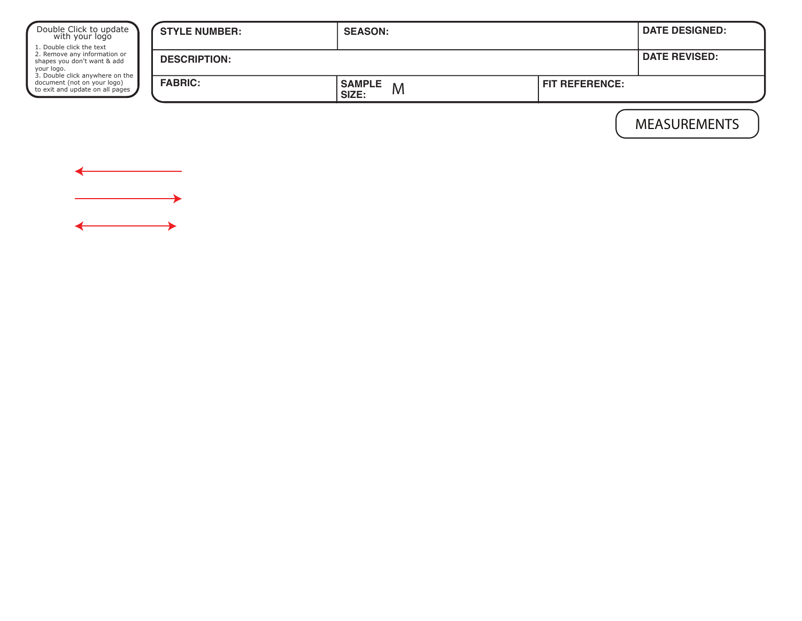| Double Click to update<br>with your logo<br>1. Double click the text<br>2. Remove any information or<br>shapes you don't want & add<br>your logo.<br>3. Double click anywhere on the<br>document (not on your logo)<br>to exit and update on all pages | <b>STYLE NUMBER:</b> | <b>SEASON:</b>              |                       | <b>DATE DESIGNED:</b> |
|--------------------------------------------------------------------------------------------------------------------------------------------------------------------------------------------------------------------------------------------------------|----------------------|-----------------------------|-----------------------|-----------------------|
|                                                                                                                                                                                                                                                        | <b>DESCRIPTION:</b>  | <b>DATE REVISED:</b>        |                       |                       |
|                                                                                                                                                                                                                                                        | <b>FABRIC:</b>       | <b>SAMPLE</b><br>M<br>SIZE: | <b>FIT REFERENCE:</b> |                       |
|                                                                                                                                                                                                                                                        |                      |                             |                       |                       |

MEASUREMENTS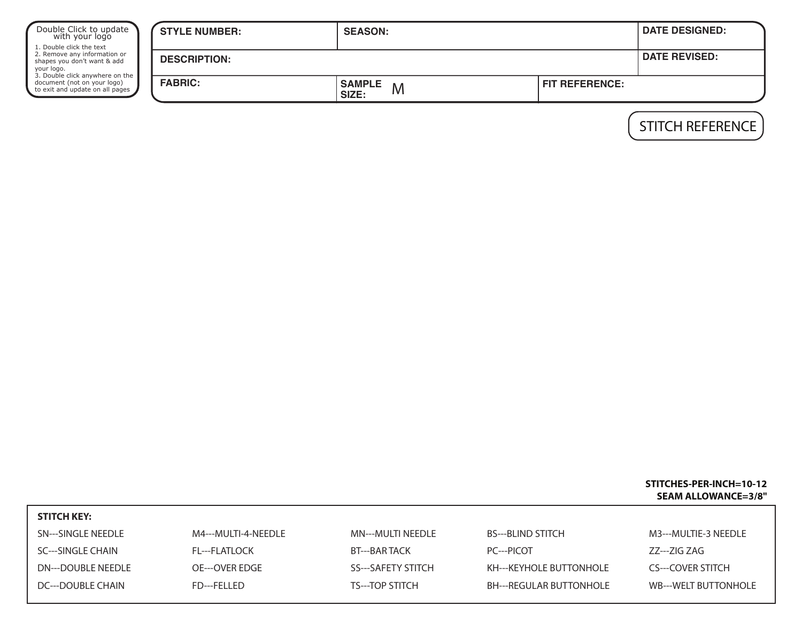| Double Click to update<br>with your logo<br>1. Double click the text<br>2. Remove any information or<br>shapes you don't want & add<br>your logo.<br>3. Double click anywhere on the<br>document (not on your logo)<br>to exit and update on all pages | <b>STYLE NUMBER:</b> | <b>SEASON:</b>              |                       | <b>DATE DESIGNED:</b> |  |
|--------------------------------------------------------------------------------------------------------------------------------------------------------------------------------------------------------------------------------------------------------|----------------------|-----------------------------|-----------------------|-----------------------|--|
|                                                                                                                                                                                                                                                        | <b>DESCRIPTION:</b>  |                             |                       |                       |  |
|                                                                                                                                                                                                                                                        | <b>FABRIC:</b>       | <b>SAMPLE</b><br>M<br>SIZE: | <b>FIT REFERENCE:</b> |                       |  |

STITCH REFERENCE

## **STITCHES-PER-INCH=10-12 SEAM ALLOWANCE=3/8"**

| <b>STITCH KEY:</b> |                     |                           |                                |                      |
|--------------------|---------------------|---------------------------|--------------------------------|----------------------|
| SN---SINGLE NEEDLE | M4---MULTI-4-NEEDLE | MN---MULTI NEEDLE         | <b>BS---BLIND STITCH</b>       | M3---MULTIE-3 NEEDLE |
| SC---SINGLE CHAIN  | FL---FLATLOCK       | BT---BAR TACK             | PC---PICOT                     | ZZ---ZIG ZAG         |
| DN---DOUBLE NEEDLE | OE---OVER EDGE      | <b>SS---SAFETY STITCH</b> | KH---KEYHOLE BUTTONHOLE        | CS---COVER STITCH    |
| DC---DOUBLE CHAIN  | FD---FELLED         | TS---TOP STITCH           | <b>BH---REGULAR BUTTONHOLE</b> | WB---WELT BUTTONHOLE |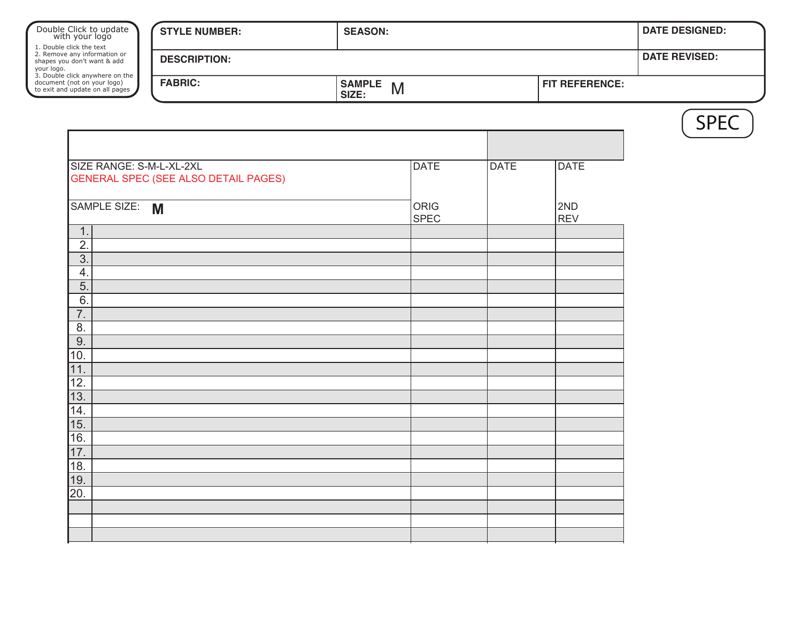| Double Click to update<br>with your logo                                                              | <b>STYLE NUMBER:</b>                 | <b>SEASON:</b>              |                     |             |                   | <b>DATE DESIGNED:</b> |
|-------------------------------------------------------------------------------------------------------|--------------------------------------|-----------------------------|---------------------|-------------|-------------------|-----------------------|
| 1. Double click the text<br>2. Remove any information or<br>shapes you don't want & add<br>your logo. | <b>DESCRIPTION:</b>                  |                             |                     |             |                   | <b>DATE REVISED:</b>  |
| 3. Double click anywhere on the<br>document (not on your logo)<br>to exit and update on all pages     | <b>FABRIC:</b>                       | <b>SAMPLE</b><br>M<br>SIZE: |                     |             | FIT REFERENCE:    |                       |
|                                                                                                       |                                      |                             |                     |             |                   | <b>SPEC</b>           |
|                                                                                                       |                                      |                             |                     |             |                   |                       |
| SIZE RANGE: S-M-L-XL-2XL                                                                              | GENERAL SPEC (SEE ALSO DETAIL PAGES) |                             | <b>DATE</b>         | <b>DATE</b> | <b>DATE</b>       |                       |
| SAMPLE SIZE: M                                                                                        |                                      |                             | ORIG<br><b>SPEC</b> |             | 2ND<br><b>REV</b> |                       |
| 1.<br>$\overline{2}$ .                                                                                |                                      |                             |                     |             |                   |                       |
| 3.                                                                                                    |                                      |                             |                     |             |                   |                       |
| 4.<br>$\overline{5}$ .                                                                                |                                      |                             |                     |             |                   |                       |
| 6.                                                                                                    |                                      |                             |                     |             |                   |                       |
| 7.                                                                                                    |                                      |                             |                     |             |                   |                       |
| 8.<br>9.                                                                                              |                                      |                             |                     |             |                   |                       |
| 10.                                                                                                   |                                      |                             |                     |             |                   |                       |
| $\overline{11}$                                                                                       |                                      |                             |                     |             |                   |                       |
| 12 <sub>1</sub>                                                                                       |                                      |                             |                     |             |                   |                       |
| 13.<br>14.                                                                                            |                                      |                             |                     |             |                   |                       |
| 15.                                                                                                   |                                      |                             |                     |             |                   |                       |
| 16.                                                                                                   |                                      |                             |                     |             |                   |                       |
| 17.                                                                                                   |                                      |                             |                     |             |                   |                       |
| 18.                                                                                                   |                                      |                             |                     |             |                   |                       |
| 19.                                                                                                   |                                      |                             |                     |             |                   |                       |
| 20.                                                                                                   |                                      |                             |                     |             |                   |                       |
|                                                                                                       |                                      |                             |                     |             |                   |                       |
|                                                                                                       |                                      |                             |                     |             |                   |                       |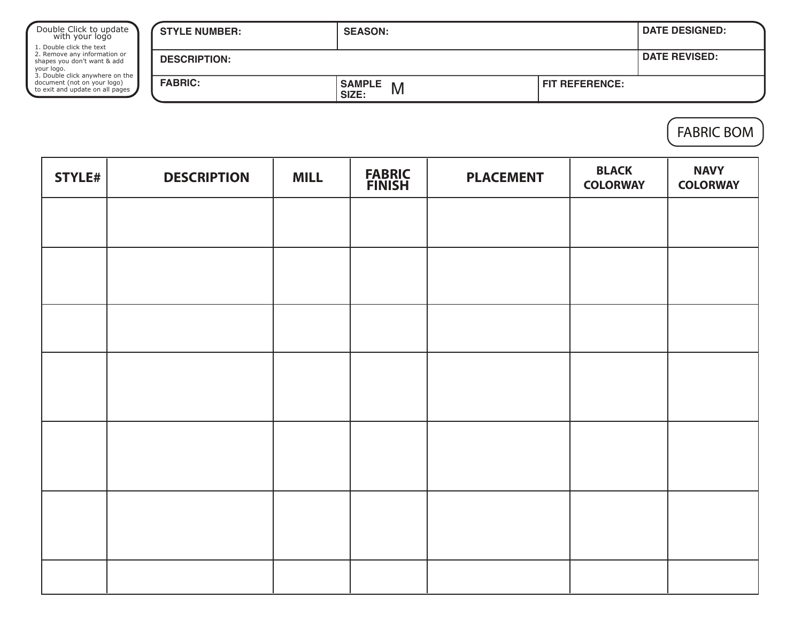| Double Click to update<br>with your logo<br>1. Double click the text<br>2. Remove any information or<br>shapes you don't want & add<br>your logo.<br>3. Double click anywhere on the<br>document (not on your logo)<br>to exit and update on all pages | <b>STYLE NUMBER:</b> | <b>SEASON:</b>              |                       | <b>DATE DESIGNED:</b> |  |
|--------------------------------------------------------------------------------------------------------------------------------------------------------------------------------------------------------------------------------------------------------|----------------------|-----------------------------|-----------------------|-----------------------|--|
|                                                                                                                                                                                                                                                        | <b>DESCRIPTION:</b>  |                             |                       |                       |  |
|                                                                                                                                                                                                                                                        | <b>FABRIC:</b>       | <b>SAMPLE</b><br>M<br>SIZE: | <b>FIT REFERENCE:</b> |                       |  |

FABRIC BOM

| STYLE# | <b>DESCRIPTION</b> | <b>MILL</b> | <b>FABRIC<br/>FINISH</b> | <b>PLACEMENT</b> | <b>BLACK</b><br><b>COLORWAY</b> | <b>NAVY</b><br><b>COLORWAY</b> |
|--------|--------------------|-------------|--------------------------|------------------|---------------------------------|--------------------------------|
|        |                    |             |                          |                  |                                 |                                |
|        |                    |             |                          |                  |                                 |                                |
|        |                    |             |                          |                  |                                 |                                |
|        |                    |             |                          |                  |                                 |                                |
|        |                    |             |                          |                  |                                 |                                |
|        |                    |             |                          |                  |                                 |                                |
|        |                    |             |                          |                  |                                 |                                |